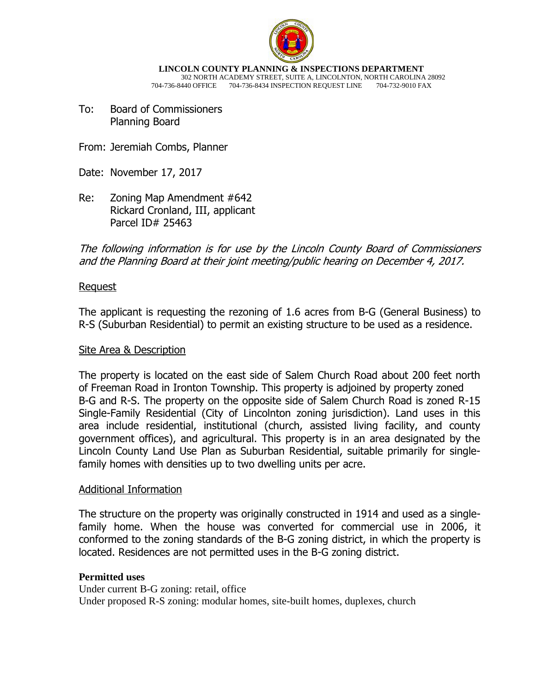

**LINCOLN COUNTY PLANNING & INSPECTIONS DEPARTMENT** 302 NORTH ACADEMY STREET, SUITE A, LINCOLNTON, NORTH CAROLINA 28092 704-736-8440 OFFICE 704-736-8434 INSPECTION REQUEST LINE 704-732-9010 FAX

- To: Board of Commissioners Planning Board
- From: Jeremiah Combs, Planner
- Date: November 17, 2017
- Re: Zoning Map Amendment #642 Rickard Cronland, III, applicant Parcel ID# 25463

The following information is for use by the Lincoln County Board of Commissioners and the Planning Board at their joint meeting/public hearing on December 4, 2017.

### Request

The applicant is requesting the rezoning of 1.6 acres from B-G (General Business) to R-S (Suburban Residential) to permit an existing structure to be used as a residence.

### Site Area & Description

The property is located on the east side of Salem Church Road about 200 feet north of Freeman Road in Ironton Township. This property is adjoined by property zoned B-G and R-S. The property on the opposite side of Salem Church Road is zoned R-15 Single-Family Residential (City of Lincolnton zoning jurisdiction). Land uses in this area include residential, institutional (church, assisted living facility, and county government offices), and agricultural. This property is in an area designated by the Lincoln County Land Use Plan as Suburban Residential, suitable primarily for singlefamily homes with densities up to two dwelling units per acre.

### Additional Information

The structure on the property was originally constructed in 1914 and used as a singlefamily home. When the house was converted for commercial use in 2006, it conformed to the zoning standards of the B-G zoning district, in which the property is located. Residences are not permitted uses in the B-G zoning district.

### **Permitted uses**

Under current B-G zoning: retail, office Under proposed R-S zoning: modular homes, site-built homes, duplexes, church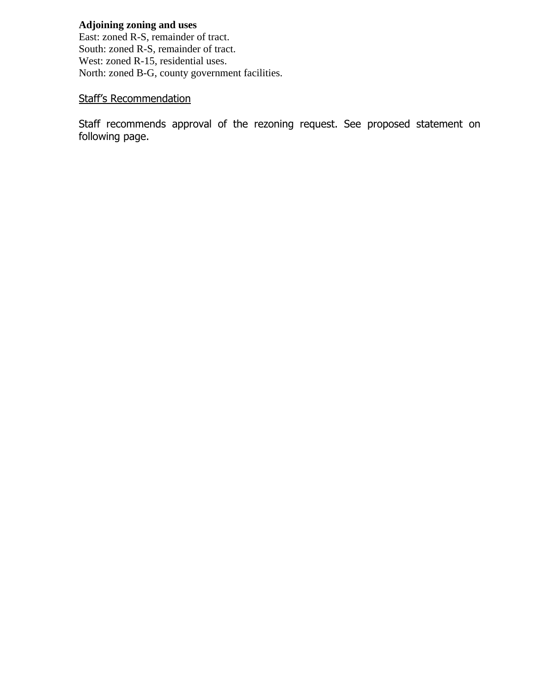## **Adjoining zoning and uses**

East: zoned R-S, remainder of tract. South: zoned R-S, remainder of tract. West: zoned R-15, residential uses. North: zoned B-G, county government facilities.

## Staff's Recommendation

Staff recommends approval of the rezoning request. See proposed statement on following page.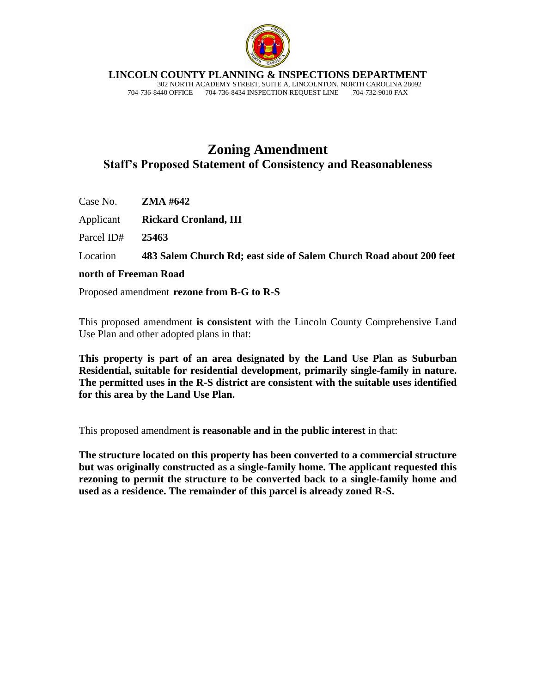

**LINCOLN COUNTY PLANNING & INSPECTIONS DEPARTMENT**

 302 NORTH ACADEMY STREET, SUITE A, LINCOLNTON, NORTH CAROLINA 28092 704-736-8440 OFFICE 704-736-8434 INSPECTION REQUEST LINE 704-732-9010 FAX

# **Zoning Amendment Staff's Proposed Statement of Consistency and Reasonableness**

Case No. **ZMA #642**

Applicant **Rickard Cronland, III**

Parcel ID# **25463** 

Location **483 Salem Church Rd; east side of Salem Church Road about 200 feet** 

### **north of Freeman Road**

Proposed amendment **rezone from B-G to R-S**

This proposed amendment **is consistent** with the Lincoln County Comprehensive Land Use Plan and other adopted plans in that:

**This property is part of an area designated by the Land Use Plan as Suburban Residential, suitable for residential development, primarily single-family in nature. The permitted uses in the R-S district are consistent with the suitable uses identified for this area by the Land Use Plan.**

This proposed amendment **is reasonable and in the public interest** in that:

**The structure located on this property has been converted to a commercial structure but was originally constructed as a single-family home. The applicant requested this rezoning to permit the structure to be converted back to a single-family home and used as a residence. The remainder of this parcel is already zoned R-S.**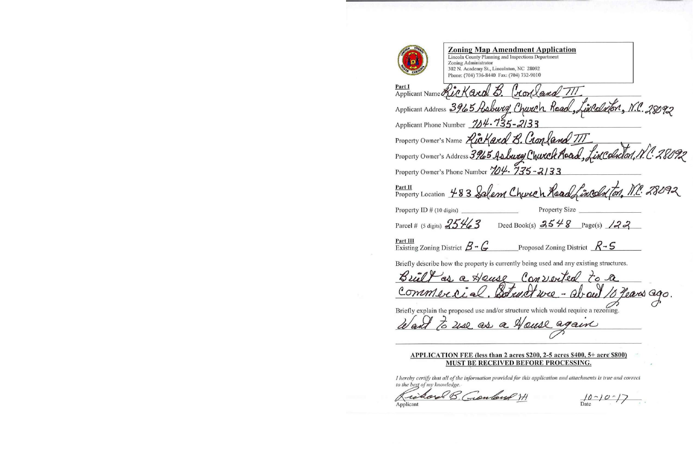

## **Zoning Map Amendment Application**

Lincoln County Planning and Inspections Department Zoning Administrator 302 N. Academy St., Lincolnton, NC 28092 Phone: (704) 736-8440 Fax: (704) 732-9010

| Part I<br>Applicant Name Rickard B. Gonland TIT                                        |
|----------------------------------------------------------------------------------------|
| Applicant Address 3965 Asburg Church Road, Lidedxfor, N.C. 28092                       |
| Applicant Phone Number 784.735-2133                                                    |
| Property Owner's Name Rickard B. Cronland III                                          |
| Property Owner's Address 3965 Asburg Church Aoad, Lincoln on, N.C. 28092               |
| Property Owner's Phone Number 704. 735-2133                                            |
| Property Location 483 Salem Church Read Lincoln Ton, N.C. 28092                        |
| <b>Property Size</b><br>Property ID $#$ (10 digits)                                    |
| Parcel # (5 digits) $25\frac{1}{6}$ 3<br>Deed Book(s) $3548$ Page(s) $133$             |
| Part III<br>Proposed Zoning District $R-S$<br>Existing Zoning District $\beta - C$     |
| Briefly describe how the property is currently being used and any existing structures. |
| Built as a Heuse Converted to a                                                        |
| commercial. Botunet we - about 10 Years ago.                                           |
| Driafly evolvin the proposed use and/or structure which would require a rezon          |

Briefly explain the proposed use and/or structure which would require a rezoning.

to use as a House again

### APPLICATION FEE (less than 2 acres \$200, 2-5 acres \$400, 5+ acre \$800) MUST BE RECEIVED BEFORE PROCESSING.

I hereby certify that all of the information provided for this application and attachments is true and correct to the best of my knowledge.

B. Geonland H æ Applicant

 $\frac{10 - 10 - 17}{\text{Date}}$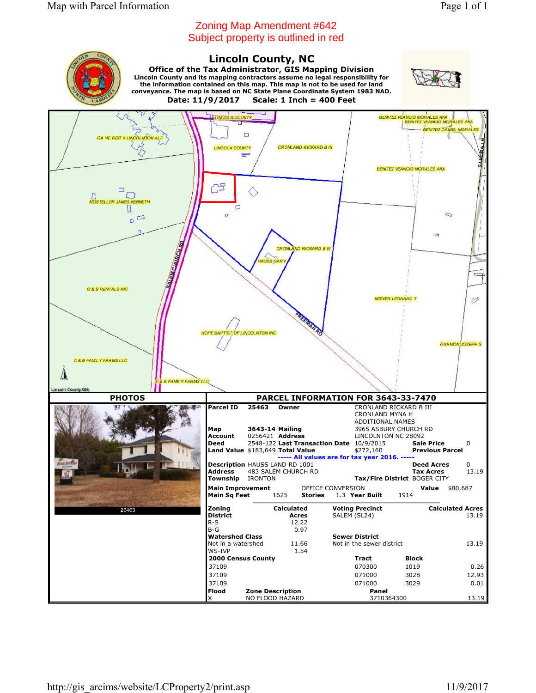## Zoning Map Amendment #642 Subject property is outlined in red

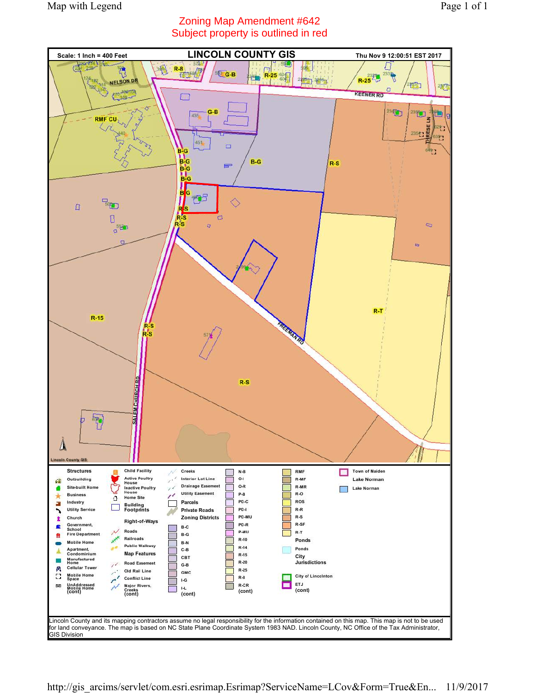